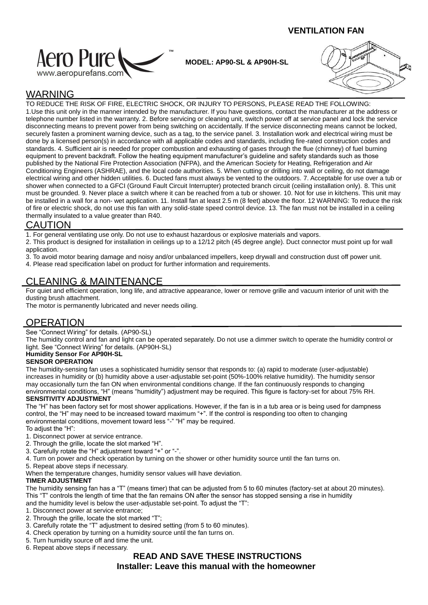## **VENTILATION FAN**



**MODEL: AP90-SL & AP90H-SL**



# WARNING

TO REDUCE THE RISK OF FIRE, ELECTRIC SHOCK, OR INJURY TO PERSONS, PLEASE READ THE FOLLOWING: 1.Use this unit only in the manner intended by the manufacturer. If you have questions, contact the manufacturer at the address or telephone number listed in the warranty. 2. Before servicing or cleaning unit, switch power off at service panel and lock the service disconnecting means to prevent power from being switching on accidentally. If the service disconnecting means cannot be locked, securely fasten a prominent warning device, such as a tag, to the service panel. 3. Installation work and electrical wiring must be done by a licensed person(s) in accordance with all applicable codes and standards, including fire-rated construction codes and standards. 4. Sufficient air is needed for proper combustion and exhausting of gases through the flue (chimney) of fuel burning equipment to prevent backdraft. Follow the heating equipment manufacturer's guideline and safety standards such as those published by the National Fire Protection Association (NFPA), and the American Society for Heating, Refrigeration and Air Conditioning Engineers (ASHRAE), and the local code authorities. 5. When cutting or drilling into wall or ceiling, do not damage electrical wiring and other hidden utilities. 6. Ducted fans must always be vented to the outdoors. 7. Acceptable for use over a tub or shower when connected to a GFCI (Ground Fault Circuit Interrupter) protected branch circuit (ceiling installation only). 8. This unit must be grounded. 9. Never place a switch where it can be reached from a tub or shower. 10. Not for use in kitchens. This unit may be installed in a wall for a non- wet application. 11. Install fan at least 2.5 m (8 feet) above the floor. 12 WARNING: To reduce the risk of fire or electric shock, do not use this fan with any solid-state speed control device. 13. The fan must not be installed in a ceiling thermally insulated to a value greater than R40.

## CAUTION

1. For general ventilating use only. Do not use to exhaust hazardous or explosive materials and vapors.

2. This product is designed for installation in ceilings up to a 12/12 pitch (45 degree angle). Duct connector must point up for wall application.

3. To avoid motor bearing damage and noisy and/or unbalanced impellers, keep drywall and construction dust off power unit.

4. Please read specification label on product for further information and requirements.

# CLEANING & MAINTENANCE

For quiet and efficient operation, long life, and attractive appearance, lower or remove grille and vacuum interior of unit with the dusting brush attachment.

The motor is permanently lubricated and never needs oiling.

# **OPERATION**

See "Connect Wiring" for details. (AP90-SL)

The humidity control and fan and light can be operated separately. Do not use a dimmer switch to operate the humidity control or light. See "Connect Wiring" for details. (AP90H-SL)

#### **Humidity Sensor For AP90H-SL**

#### **SENSOR OPERATION**

The humidity-sensing fan uses a sophisticated humidity sensor that responds to: (a) rapid to moderate (user-adjustable) increases in humidity or (b) humidity above a user-adjustable set-point (50%-100% relative humidity). The humidity sensor may occasionally turn the fan ON when environmental conditions change. If the fan continuously responds to changing environmental conditions, "H" (means "humidity") adjustment may be required. This figure is factory-set for about 75% RH.

#### **SENSITIVITY ADJUSTMENT**

The "H" has been factory set for most shower applications. However, if the fan is in a tub area or is being used for dampness control, the "H" may need to be increased toward maximum "+". If the control is responding too often to changing environmental conditions, movement toward less "-" "H" may be required.

- To adjust the "H":
- 1. Disconnect power at service entrance.
- 2. Through the grille, locate the slot marked "H".
- 3. Carefully rotate the "H" adjustment toward "+" or "-".
- 4. Turn on power and check operation by turning on the shower or other humidity source until the fan turns on.
- 5. Repeat above steps if necessary.
- When the temperature changes, humidity sensor values will have deviation.

#### **TIMER ADJUSTMENT**

The humidity sensing fan has a "T" (means timer) that can be adjusted from 5 to 60 minutes (factory-set at about 20 minutes). This "T" controls the length of time that the fan remains ON after the sensor has stopped sensing a rise in humidity and the humidity level is below the user-adjustable set-point. To adjust the "T":

- 1. Disconnect power at service entrance;
- 2. Through the grille, locate the slot marked "T";
- 3. Carefully rotate the "T" adjustment to desired setting (from 5 to 60 minutes).
- 4. Check operation by turning on a humidity source until the fan turns on.
- 5. Turn humidity source off and time the unit.
- 6. Repeat above steps if necessary.

# **READ AND SAVE THESE INSTRUCTIONS Installer: Leave this manual with the homeowner**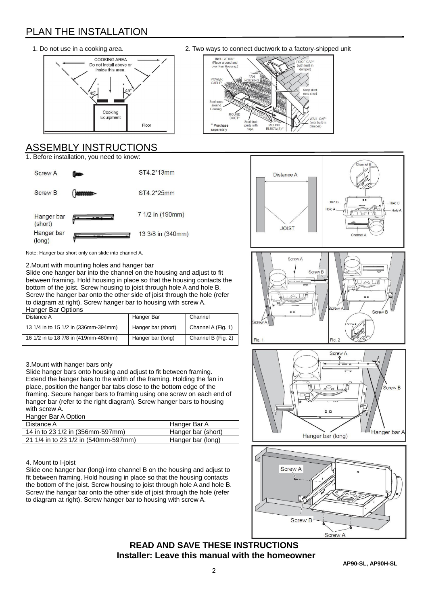# PLAN THE INSTALLATION



# ASSEMBLY INSTRUCTIONS

1. Before installation, you need to know:



1. Do not use in a cooking area. 2. Two ways to connect ductwork to a factory-shipped unit









# **READ AND SAVE THESE INSTRUCTIONS Installer: Leave this manual with the homeowner**



bottom of the joist. Screw housing to joist through hole A and hole B. Screw the hanger bar onto the other side of joist through the hole (refer to diagram at right). Screw hanger bar to housing with screw A. Hanger Bar Options

| Distance A                           | Hanger Bar         | Channel            |
|--------------------------------------|--------------------|--------------------|
| 13 1/4 in to 15 1/2 in (336mm-394mm) | Hanger bar (short) | Channel A (Fig. 1) |
| 16 1/2 in to 18 7/8 in (419mm-480mm) | Hanger bar (long)  | Channel B (Fig. 2) |

## 3.Mount with hanger bars only

Slide hanger bars onto housing and adjust to fit between framing. Extend the hanger bars to the width of the framing. Holding the fan in place, position the hanger bar tabs close to the bottom edge of the framing. Secure hanger bars to framing using one screw on each end of hanger bar (refer to the right diagram). Screw hanger bars to housing with screw A.

#### Hanger Bar A Option

| Distance A                           | Hanger Bar A       |
|--------------------------------------|--------------------|
| 14 in to 23 1/2 in (356mm-597mm)     | Hanger bar (short) |
| 21 1/4 in to 23 1/2 in (540mm-597mm) | Hanger bar (long)  |
|                                      |                    |

#### 4. Mount to I-joist

Slide one hanger bar (long) into channel B on the housing and adjust to fit between framing. Hold housing in place so that the housing contacts the bottom of the joist. Screw housing to joist through hole A and hole B. Screw the hangar bar onto the other side of joist through the hole (refer to diagram at right). Screw hanger bar to housing with screw A.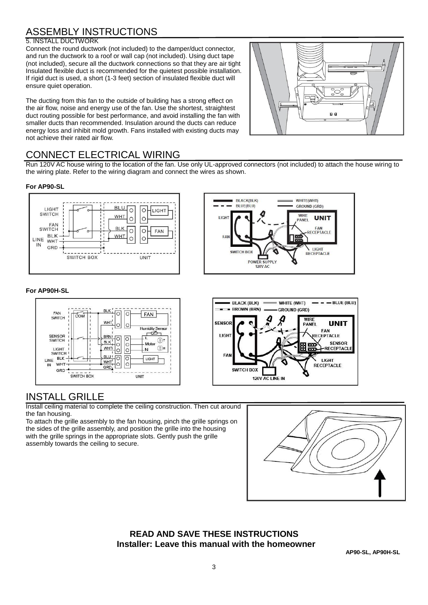# ASSEMBLY INSTRUCTIONS

#### 5. INSTALL DUCTWORK

Connect the round ductwork (not included) to the damper/duct connector, and run the ductwork to a roof or wall cap (not included). Using duct tape (not included), secure all the ductwork connections so that they are air tight Insulated flexible duct is recommended for the quietest possible installation. If rigid duct is used, a short (1-3 feet) section of insulated flexible duct will ensure quiet operation.

The ducting from this fan to the outside of building has a strong effect on the air flow, noise and energy use of the fan. Use the shortest, straightest duct routing possible for best performance, and avoid installing the fan with smaller ducts than recommended. Insulation around the ducts can reduce energy loss and inhibit mold growth. Fans installed with existing ducts may not achieve their rated air flow.



# CONNECT ELECTRICAL WIRING

Run 120V AC house wiring to the location of the fan. Use only UL-approved connectors (not included) to attach the house wiring to the wiring plate. Refer to the wiring diagram and connect the wires as shown.

#### **For AP90-SL**



#### **For AP90H-SL**



# INSTALL GRILLE

Install ceiling material to complete the ceiling construction. Then cut around the fan housing.

To attach the grille assembly to the fan housing, pinch the grille springs on the sides of the grille assembly, and position the grille into the housing with the grille springs in the appropriate slots. Gently push the grille assembly towards the ceiling to secure.



## **READ AND SAVE THESE INSTRUCTIONS Installer: Leave this manual with the homeowner**

**AP90-SL, AP90H-SL**